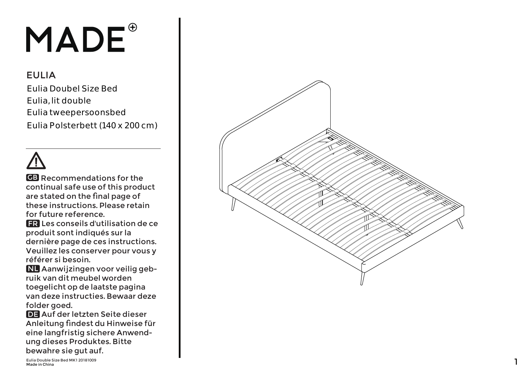## MADE<sup>®</sup>

## EULIA

Eulia Doubel Size Bed Eulia, lit double Eulia tweepersoonsbed Eulia Polsterbett (140 x 200 cm)



GB Recommendations for the continual safe use of this product are stated on the final page of these instructions. Please retain for future reference.

**ER Les conseils d'utilisation de ce** produit sont indiqués sur la dernière page de ces instructions. Veuillez les conserver pour vous y référer si besoin.

 Aanwijzingen voor veilig geb-NL ruik van dit meubel worden toegelicht op de laatste pagina van deze instructies. Bewaar deze folder goed.

DE Auf der letzten Seite dieser Anleitung findest du Hinweise für eine langfristig sichere Anwendung dieses Produktes. Bitte bewahre sie gut auf.

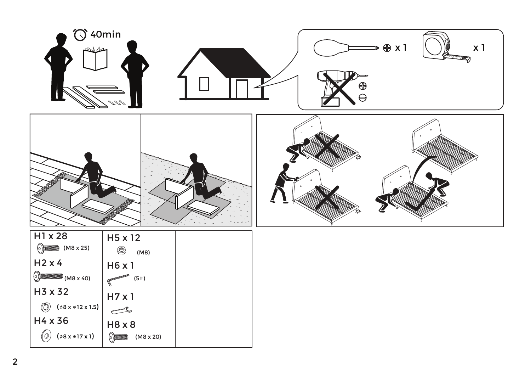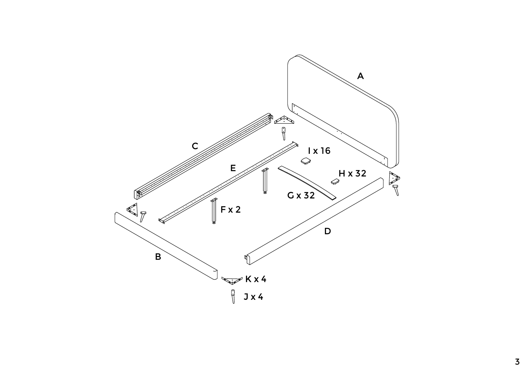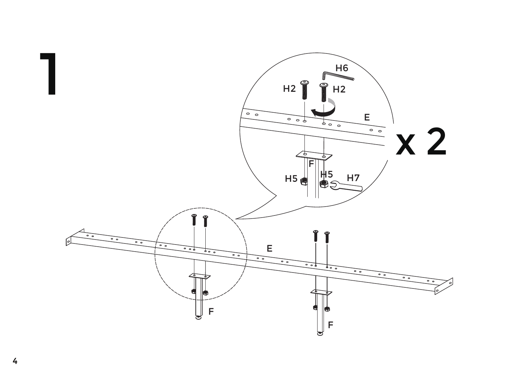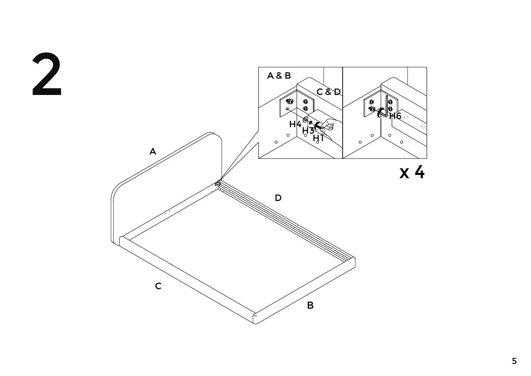$\overline{2}$ 

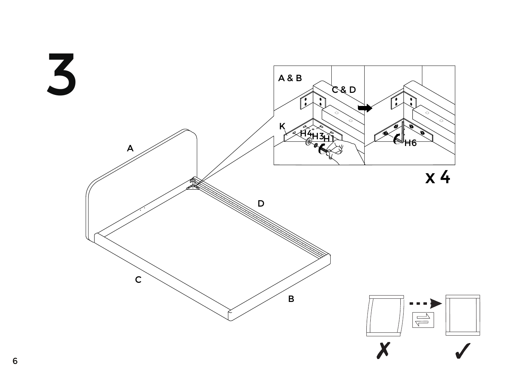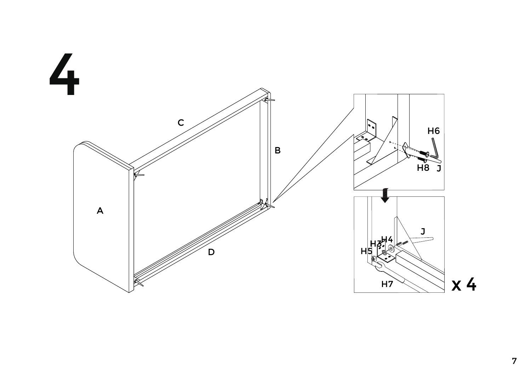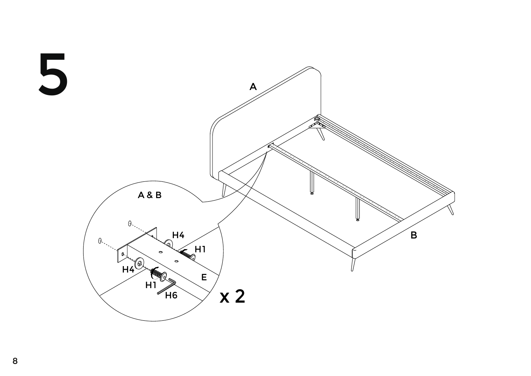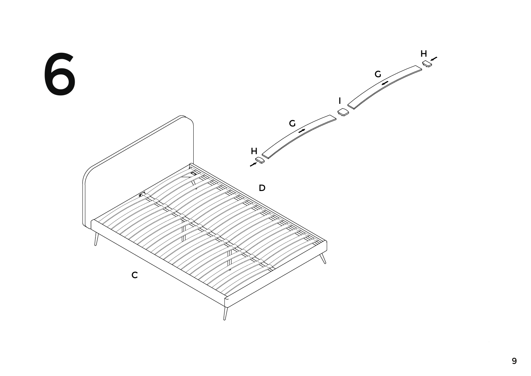

l,